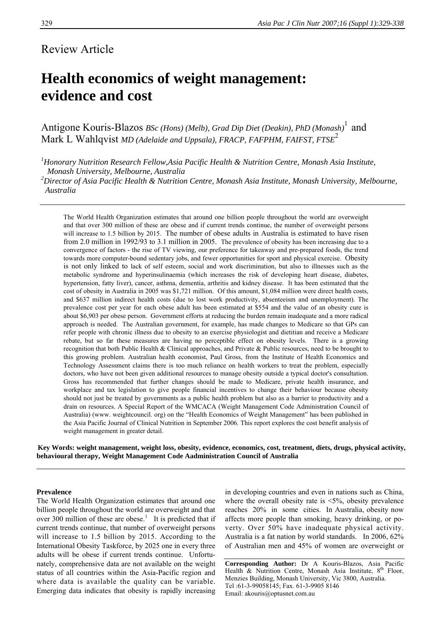# Review Article

# **Health economics of weight management: evidence and cost**

Antigone Kouris-Blazos *BSc (Hons) (Melb), Grad Dip Diet (Deakin), PhD (Monash)*<sup>1</sup> and Mark L Wahlqvist *MD (Adelaide and Uppsala), FRACP, FAFPHM, FAIFST, FTSE*<sup>2</sup>

*1 Honorary Nutrition Research Fellow,Asia Pacific Health & Nutrition Centre, Monash Asia Institute, Monash University, Melbourne, Australia* 

*2 Director of Asia Pacific Health & Nutrition Centre, Monash Asia Institute, Monash University, Melbourne, Australia* 

The World Health Organization estimates that around one billion people throughout the world are overweight and that over 300 million of these are obese and if current trends continue, the number of overweight persons will increase to 1.5 billion by 2015. The number of obese adults in Australia is estimated to have risen from 2.0 million in 1992/93 to 3.1 million in 2005. The prevalence of obesity has been increasing due to a convergence of factors - the rise of TV viewing, our preference for takeaway and pre-prepared foods, the trend towards more computer-bound sedentary jobs, and fewer opportunities for sport and physical exercise. Obesity is not only linked to lack of self esteem, social and work discrimination, but also to illnesses such as the metabolic syndrome and hyperinsulinaemia (which increases the risk of developing heart disease, diabetes, hypertension, fatty liver), cancer, asthma, dementia, arthritis and kidney disease. It has been estimated that the cost of obesity in Australia in 2005 was \$1,721 million. Of this amount, \$1,084 million were direct health costs, and \$637 million indirect health costs (due to lost work productivity, absenteeism and unemployment). The prevalence cost per year for each obese adult has been estimated at \$554 and the value of an obesity cure is about \$6,903 per obese person. Government efforts at reducing the burden remain inadequate and a more radical approach is needed. The Australian government, for example, has made changes to Medicare so that GPs can refer people with chronic illness due to obesity to an exercise physiologist and dietitian and receive a Medicare rebate, but so far these measures are having no perceptible effect on obesity levels. There is a growing recognition that both Public Health & Clinical approaches, and Private & Public resources, need to be brought to this growing problem. Australian health economist, Paul Gross, from the Institute of Health Economics and Technology Assessment claims there is too much reliance on health workers to treat the problem, especially doctors, who have not been given additional resources to manage obesity outside a typical doctor's consultation. Gross has recommended that further changes should be made to Medicare, private health insurance, and workplace and tax legislation to give people financial incentives to change their behaviour because obesity should not just be treated by governments as a public health problem but also as a barrier to productivity and a drain on resources. A Special Report of the WMCACA (Weight Management Code Administration Council of Australia) (www. weightcouncil. org) on the "Health Economics of Weight Management" has been published in the Asia Pacific Journal of Clinical Nutrition in September 2006. This report explores the cost benefit analysis of weight management in greater detail.

**Key Words: weight management, weight loss, obesity, evidence, economics, cost, treatment, diets, drugs, physical activity, behavioural therapy, Weight Management Code Aadministration Council of Australia** 

#### **Prevalence**

The World Health Organization estimates that around one billion people throughout the world are overweight and that over 300 million of these are obese.<sup>1</sup> It is predicted that if current trends continue, that number of overweight persons will increase to 1.5 billion by 2015. According to the International Obesity Taskforce, by 2025 one in every three adults will be obese if current trends continue. Unfortunately, comprehensive data are not available on the weight status of all countries within the Asia-Pacific region and where data is available the quality can be variable. Emerging data indicates that obesity is rapidly increasing

in developing countries and even in nations such as China, where the overall obesity rate is  $\leq 5\%$ , obesity prevalence reaches 20% in some cities. In Australia, obesity now affects more people than smoking, heavy drinking, or poverty. Over 50% have inadequate physical activity. Australia is a fat nation by world standards. In 2006, 62% of Australian men and 45% of women are overweight or

**Corresponding Author:** Dr A Kouris-Blazos, Asia Pacific Health & Nutrition Centre, Monash Asia Institute, 8<sup>th</sup> Floor, Menzies Building, Monash University, Vic 3800, Australia. Tel :61-3-99058145; Fax. 61-3-9905 8146 Email: akouris@optusnet.com.au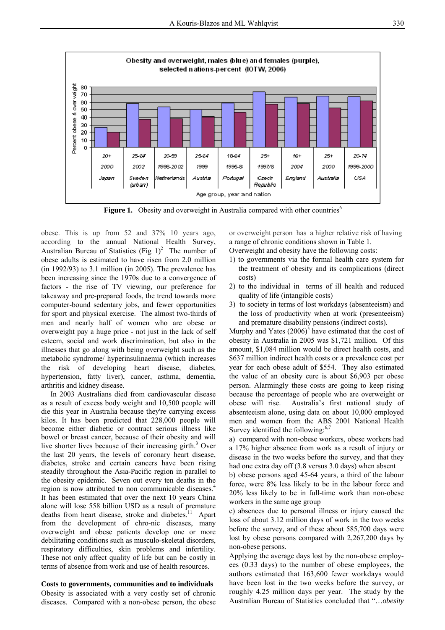

**Figure 1.** Obesity and overweight in Australia compared with other countries<sup>6</sup>

obese. This is up from 52 and 37% 10 years ago, according to the annual National Health Survey, Australian Bureau of Statistics (Fig  $1$ )<sup>2</sup> The number of obese adults is estimated to have risen from 2.0 million (in 1992/93) to 3.1 million (in 2005). The prevalence has been increasing since the 1970s due to a convergence of factors - the rise of TV viewing, our preference for takeaway and pre-prepared foods, the trend towards more computer-bound sedentary jobs, and fewer opportunities for sport and physical exercise. The almost two-thirds of men and nearly half of women who are obese or overweight pay a huge price - not just in the lack of self esteem, social and work discrimination, but also in the illnesses that go along with being overweight such as the metabolic syndrome/ hyperinsulinaemia (which increases the risk of developing heart disease, diabetes, hypertension, fatty liver), cancer, asthma, dementia, arthritis and kidney disease.

 In 2003 Australians died from cardiovascular disease as a result of excess body weight and 10,500 people will die this year in Australia because they're carrying excess kilos. It has been predicted that 228,000 people will become either diabetic or contract serious illness like bowel or breast cancer, because of their obesity and will live shorter lives because of their increasing girth.<sup>3</sup> Over the last 20 years, the levels of coronary heart disease, diabetes, stroke and certain cancers have been rising steadily throughout the Asia-Pacific region in parallel to the obesity epidemic. Seven out every ten deaths in the region is now attributed to non communicable diseases.<sup>4</sup> It has been estimated that over the next 10 years China alone will lose 558 billion USD as a result of premature deaths from heart disease, stroke and diabetes.<sup>11</sup> Apart from the development of chro-nic diseases, many overweight and obese patients develop one or more debilitating conditions such as musculo-skeletal disorders, respiratory difficulties, skin problems and infertility. These not only affect quality of life but can be costly in terms of absence from work and use of health resources.

# **Costs to governments, communities and to individuals**

Obesity is associated with a very costly set of chronic diseases. Compared with a non-obese person, the obese

or overweight person has a higher relative risk of having a range of chronic conditions shown in Table 1.

Overweight and obesity have the following costs:

- 1) to governments via the formal health care system for the treatment of obesity and its complications (direct costs)
- 2) to the individual in terms of ill health and reduced quality of life (intangible costs)
- 3) to society in terms of lost workdays (absenteeism) and the loss of productivity when at work (presenteeism) and premature disability pensions (indirect costs).

Murphy and Yates  $(2006)^5$  have estimated that the cost of obesity in Australia in 2005 was \$1,721 million. Of this amount, \$1,084 million would be direct health costs, and \$637 million indirect health costs or a prevalence cost per year for each obese adult of \$554. They also estimated the value of an obesity cure is about \$6,903 per obese person. Alarmingly these costs are going to keep rising because the percentage of people who are overweight or obese will rise. Australia's first national study of absenteeism alone, using data on about 10,000 employed men and women from the ABS 2001 National Health Survey identified the following: $6,7$ 

a) compared with non-obese workers, obese workers had a 17% higher absence from work as a result of injury or disease in the two weeks before the survey, and that they had one extra day off (3.8 versus 3.0 days) when absent

b) obese persons aged 45-64 years, a third of the labour force, were 8% less likely to be in the labour force and 20% less likely to be in full-time work than non-obese workers in the same age group

c) absences due to personal illness or injury caused the loss of about 3.12 million days of work in the two weeks before the survey, and of these about 585,700 days were lost by obese persons compared with 2,267,200 days by non-obese persons.

Applying the average days lost by the non-obese employees (0.33 days) to the number of obese employees, the authors estimated that 163,600 fewer workdays would have been lost in the two weeks before the survey, or roughly 4.25 million days per year. The study by the Australian Bureau of Statistics concluded that "…*obesity*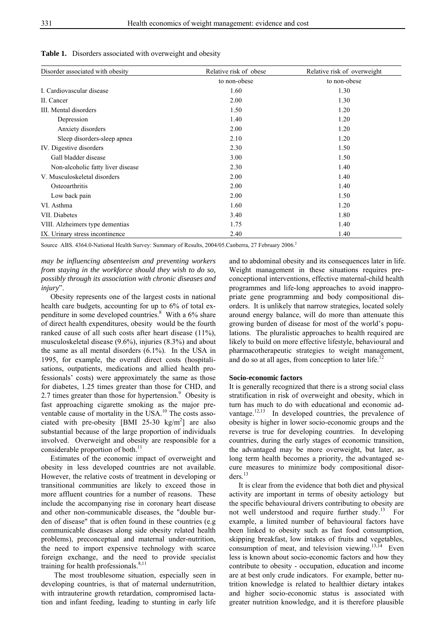| Disorder associated with obesity  | Relative risk of obese | Relative risk of overweight |
|-----------------------------------|------------------------|-----------------------------|
|                                   | to non-obese           | to non-obese                |
| I. Cardiovascular disease         | 1.60                   | 1.30                        |
| II. Cancer                        | 2.00                   | 1.30                        |
| III. Mental disorders             | 1.50                   | 1.20                        |
| Depression                        | 1.40                   | 1.20                        |
| Anxiety disorders                 | 2.00                   | 1.20                        |
| Sleep disorders-sleep apnea       | 2.10                   | 1.20                        |
| IV. Digestive disorders           | 2.30                   | 1.50                        |
| Gall bladder disease              | 3.00                   | 1.50                        |
| Non-alcoholic fatty liver disease | 2.30                   | 1.40                        |
| V. Musculoskeletal disorders      | 2.00                   | 1.40                        |
| Osteoarthritis                    | 2.00                   | 1.40                        |
| Low back pain                     | 2.00                   | 1.50                        |
| VI. Asthma                        | 1.60                   | 1.20                        |
| VII. Diabetes                     | 3.40                   | 1.80                        |
| VIII. Alzheimers type dementias   | 1.75                   | 1.40                        |
| IX. Urinary stress incontinence   | 2.40                   | 1.40                        |

**Table 1.** Disorders associated with overweight and obesity

Source ABS. 4364.0-National Health Survey: Summary of Results, 2004/05. Canberra, 27 February 2006.<sup>2</sup>

*may be influencing absenteeism and preventing workers from staying in the workforce should they wish to do so, possibly through its association with chronic diseases and injury*".

 Obesity represents one of the largest costs in national health care budgets, accounting for up to 6% of total expenditure in some developed countries.<sup>8</sup> With a 6% share of direct health expenditures, obesity would be the fourth ranked cause of all such costs after heart disease (11%), musculoskeletal disease (9.6%), injuries (8.3%) and about the same as all mental disorders (6.1%). In the USA in 1995, for example, the overall direct costs (hospitalisations, outpatients, medications and allied health professionals' costs) were approximately the same as those for diabetes, 1.25 times greater than those for CHD, and 2.7 times greater than those for hypertension. $9$  Obesity is fast approaching cigarette smoking as the major preventable cause of mortality in the USA.<sup>10</sup> The costs associated with pre-obesity [BMI 25-30 kg/m<sup>2</sup>] are also substantial because of the large proportion of individuals involved. Overweight and obesity are responsible for a considerable proportion of both.<sup>11</sup>

 Estimates of the economic impact of overweight and obesity in less developed countries are not available. However, the relative costs of treatment in developing or transitional communities are likely to exceed those in more affluent countries for a number of reasons. These include the accompanying rise in coronary heart disease and other non-communicable diseases, the "double burden of disease" that is often found in these countries (e.g communicable diseases along side obesity related health problems), preconceptual and maternal under-nutrition, the need to import expensive technology with scarce foreign exchange, and the need to provide specialist training for health professionals. $8,11$ 

 The most troublesome situation, especially seen in developing countries, is that of maternal undernutrition, with intrauterine growth retardation, compromised lactation and infant feeding, leading to stunting in early life

and to abdominal obesity and its consequences later in life. Weight management in these situations requires preconceptional interventions, effective maternal-child health programmes and life-long approaches to avoid inappropriate gene programming and body compositional disorders. It is unlikely that narrow strategies, located solely around energy balance, will do more than attenuate this growing burden of disease for most of the world's populations. The pluralistic approaches to health required are likely to build on more effective lifestyle, behavioural and pharmacotherapeutic strategies to weight management, and do so at all ages, from conception to later life.<sup>12</sup>

## **Socio-economic factors**

It is generally recognized that there is a strong social class stratification in risk of overweight and obesity, which in turn has much to do with educational and economic advantage. $12,13$  In developed countries, the prevalence of obesity is higher in lower socio-economic groups and the reverse is true for developing countries. In developing countries, during the early stages of economic transition, the advantaged may be more overweight, but later, as long term health becomes a priority, the advantaged secure measures to minimize body compositional disor $ders.<sup>13</sup>$ 

 It is clear from the evidence that both diet and physical activity are important in terms of obesity aetiology but the specific behavioural drivers contributing to obesity are not well understood and require further study.<sup>13</sup> For example, a limited number of behavioural factors have been linked to obesity such as fast food consumption, skipping breakfast, low intakes of fruits and vegetables, consumption of meat, and television viewing. $13,14$  Even less is known about socio-economic factors and how they contribute to obesity - occupation, education and income are at best only crude indicators. For example, better nutrition knowledge is related to healthier dietary intakes and higher socio-economic status is associated with greater nutrition knowledge, and it is therefore plausible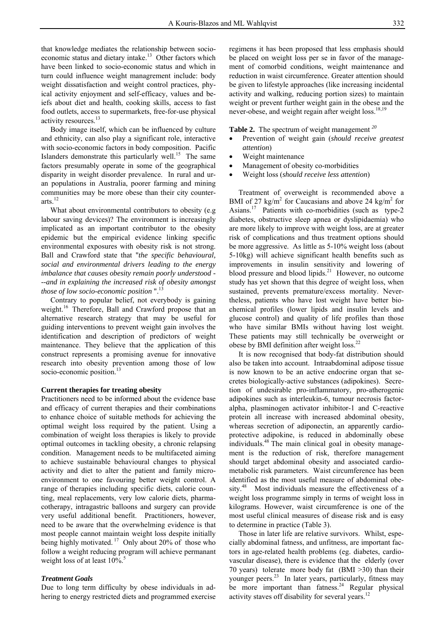that knowledge mediates the relationship between socioeconomic status and dietary intake.<sup>13</sup> Other factors which have been linked to socio-economic status and which in turn could influence weight managrement include: body weight dissatisfaction and weight control practices, phyical activity enjoyment and self-efficacy, values and beiefs about diet and health, cooking skills, access to fast food outlets, access to supermarkets, free-for-use physical activity resources.<sup>13</sup>

 Body image itself, which can be influenced by culture and ethnicity, can also play a significant role, interactive with socio-economic factors in body composition. Pacific Islanders demonstrate this particularly well.<sup>15</sup> The same factors presumably operate in some of the geographical disparity in weight disorder prevalence. In rural and uran populations in Australia, poorer farming and mining communities may be more obese than their city counterarts. $^{12}$ 

 What about environmental contributors to obesity (e.g labour saving devices)? The environment is increasingly implicated as an important contributor to the obesity epidemic but the empirical evidence linking specific environmental exposures with obesity risk is not strong. Ball and Crawford state that "*the specific behavioural, social and environmental drivers leading to the energy imbalance that causes obesity remain poorly understood - --and in explaining the increased risk of obesity amongst those of low socio-economic position* ".<sup>13</sup>

 Contrary to popular belief, not everybody is gaining weight.<sup>16</sup> Therefore, Ball and Crawford propose that an alternative research strategy that may be useful for guiding interventions to prevent weight gain involves the identification and description of predictors of weight maintenance. They believe that the application of this construct represents a promising avenue for innovative research into obesity prevention among those of low socio-economic position.<sup>13</sup>

## **Current therapies for treating obesity**

Practitioners need to be informed about the evidence base and efficacy of current therapies and their combinations to enhance choice of suitable methods for achieving the optimal weight loss required by the patient. Using a combination of weight loss therapies is likely to provide optimal outcomes in tackling obesity, a chronic relapsing condition. Management needs to be multifaceted aiming to achieve sustainable behavioural changes to physical activity and diet to alter the patient and family microenvironment to one favouring better weight control. A range of therapies including specific diets, calorie counting, meal replacements, very low calorie diets, pharmacotherapy, intragastric balloons and surgery can provide very useful additional benefit. Practitioners, however, need to be aware that the overwhelming evidence is that most people cannot maintain weight loss despite initially being highly motivated. <sup>17</sup> Only about 20% of those who follow a weight reducing program will achieve permanant weight loss of at least  $10\%$ .<sup>5</sup>

## *Treatment Goals*

Due to long term difficulty by obese individuals in adhering to energy restricted diets and programmed exercise

regimens it has been proposed that less emphasis should be placed on weight loss per se in favor of the management of comorbid conditions, weight maintenance and reduction in waist circumference. Greater attention should be given to lifestyle approaches (like increasing incidental activity and walking, reducing portion sizes) to maintain weight or prevent further weight gain in the obese and the never-obese, and weight regain after weight  $loss^{18,19}$ 

**Table 2.** The spectrum of weight management *<sup>20</sup>*

- Prevention of weight gain (*should receive greatest attention*)
- Weight maintenance
- Management of obesity co-morbidities
- Weight loss (*should receive less attention*)

 Treatment of overweight is recommended above a BMI of 27 kg/m<sup>2</sup> for Caucasians and above 24 kg/m<sup>2</sup> for Asians.<sup>17</sup> Patients with co-morbidities (such as type-2) diabetes, obstructive sleep apnea or dyslipidaemia) who are more likely to improve with weight loss, are at greater risk of complications and thus treatment options should be more aggressive. As little as 5-10% weight loss (about 5-10kg) will achieve significant health benefits such as improvements in insulin sensitivity and lowering of blood pressure and blood lipids. $21$  However, no outcome study has yet shown that this degree of weight loss, when sustained, prevents premature/excess mortality. Nevertheless, patients who have lost weight have better biochemical profiles (lower lipids and insulin levels and glucose control) and quality of life profiles than those who have similar BMIs without having lost weight. These patients may still technically be overweight or obese by BMI definition after weight loss. $^{22}$ 

 It is now recognised that body-fat distribution should also be taken into account. Intraabdominal adipose tissue is now known to be an active endocrine organ that secretes biologically-active substances (adipokines). Secretion of undesirable pro-inflammatory, pro-atherogenic adipokines such as interleukin-6, tumour necrosis factoralpha, plasminogen activator inhibitor-1 and C-reactive protein all increase with increased abdominal obesity, whereas secretion of adiponectin, an apparently cardioprotective adipokine, is reduced in abdominally obese individuals.<sup>48</sup> The main clinical goal in obesity management is the reduction of risk, therefore management should target abdominal obesity and associated cardiometabolic risk parameters. Waist circumference has been identified as the most useful measure of abdominal obesity.<sup>48</sup> Most individuals measure the effectiveness of a weight loss programme simply in terms of weight loss in kilograms. However, waist circumference is one of the most useful clinical measures of disease risk and is easy to determine in practice (Table 3).

 Those in later life are relative survivors. Whilst, especially abdominal fatness, and unfitness, are important factors in age-related health problems (eg. diabetes, cardiovascular disease), there is evidence that the elderly (over 70 years) tolerate more body fat (BMI >30) than their younger peers.<sup>23</sup> In later years, particularly, fitness may be more important than fatness. $24$  Regular physical activity staves off disability for several years.<sup>12</sup>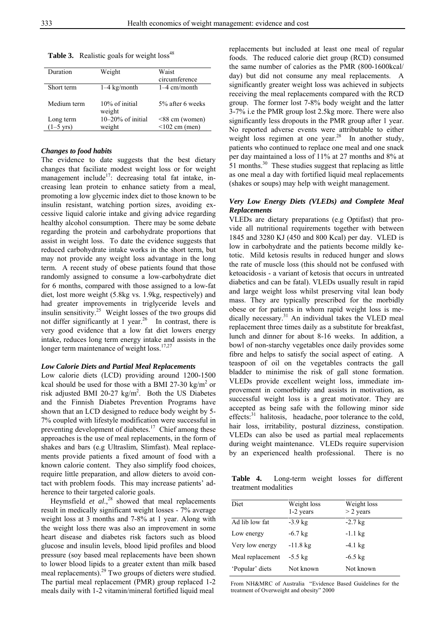| Duration            | Weight                   | Waist<br>circumference |
|---------------------|--------------------------|------------------------|
| Short term          | $1-4$ kg/month           | $1-4$ cm/month         |
| Medium term         | 10% of initial<br>weight | 5% after 6 weeks       |
| Long term           | $10-20\%$ of initial     | $<88$ cm (women)       |
| $(1-5 \text{ yrs})$ | weight                   | $<$ 102 cm (men)       |

**Table 3.** Realistic goals for weight loss<sup>48</sup>

## *Changes to food habits*

The evidence to date suggests that the best dietary changes that faciliate modest weight loss or for weight management include<sup>17</sup>: decreasing total fat intake, increasing lean protein to enhance satiety from a meal, promoting a low glycemic index diet to those known to be insulin resistant, watching portion sizes, avoiding excessive liquid calorie intake and giving advice regarding healthy alcohol consumption. There may be some debate regarding the protein and carbohydrate proportions that assist in weight loss. To date the evidence suggests that reduced carbohydrate intake works in the short term, but may not provide any weight loss advantage in the long term. A recent study of obese patients found that those randomly assigned to consume a low-carbohydrate diet for 6 months, compared with those assigned to a low-fat diet, lost more weight (5.8kg vs. 1.9kg, respectively) and had greater improvements in triglyceride levels and insulin sensitivity.25 Weight losses of the two groups did not differ significantly at 1 year.<sup>26</sup> In contrast, there is very good evidence that a low fat diet lowers energy intake, reduces long term energy intake and assists in the longer term maintenance of weight loss.<sup>17,27</sup>

#### *Low Calorie Diets and Partial Meal Replacements*

Low calorie diets (LCD) providing around 1200-1500 kcal should be used for those with a BMI 27-30 kg/m<sup>2</sup> or risk adjusted BMI 20-27  $\text{kg/m}^2$ . Both the US Diabetes and the Finnish Diabetes Prevention Programs have shown that an LCD designed to reduce body weight by 5- 7% coupled with lifestyle modification were successful in preventing development of diabetes.<sup>17</sup> Chief among these approaches is the use of meal replacements, in the form of shakes and bars (e.g Ultraslim, Slimfast). Meal replacements provide patients a fixed amount of food with a known calorie content. They also simplify food choices, require little preparation, and allow dieters to avoid contact with problem foods. This may increase patients' adherence to their targeted calorie goals.

Heymsfield  $et$   $al$ ,  $^{28}$  showed that meal replacements result in medically significant weight losses - 7% average weight loss at 3 months and 7-8% at 1 year. Along with the weight loss there was also an improvement in some heart disease and diabetes risk factors such as blood glucose and insulin levels, blood lipid profiles and blood pressure (soy based meal replacements have been shown to lower blood lipids to a greater extent than milk based meal replacements).29 Two groups of dieters were studied. The partial meal replacement (PMR) group replaced 1-2 meals daily with 1-2 vitamin/mineral fortified liquid meal

replacements but included at least one meal of regular foods. The reduced calorie diet group (RCD) consumed the same number of calories as the PMR (800-1600kcal/ day) but did not consume any meal replacements. A significantly greater weight loss was achieved in subjects receiving the meal replacements compared with the RCD group. The former lost 7-8% body weight and the latter 3-7% i.e the PMR group lost 2.5kg more. There were also significantly less dropouts in the PMR group after 1 year. No reported adverse events were attributable to either weight loss regimen at one year.<sup>28</sup> In another study, patients who continued to replace one meal and one snack per day maintained a loss of 11% at 27 months and 8% at  $51$  months.<sup>30</sup> These studies suggest that replacing as little as one meal a day with fortified liquid meal replacements (shakes or soups) may help with weight management.

# *Very Low Energy Diets (VLEDs) and Complete Meal Replacements*

VLEDs are dietary preparations (e.g Optifast) that provide all nutritional requirements together with between 1845 and 3280 KJ (450 and 800 Kcal) per day. VLED is low in carbohydrate and the patients become mildly ketotic. Mild ketosis results in reduced hunger and slows the rate of muscle loss (this should not be confused with ketoacidosis - a variant of ketosis that occurs in untreated diabetics and can be fatal). VLEDs usually result in rapid and large weight loss whilst preserving vital lean body mass. They are typically prescribed for the morbidly obese or for patients in whom rapid weight loss is medically necessary.<sup>31</sup> An individual takes the VLED meal replacement three times daily as a substitute for breakfast, lunch and dinner for about 8-16 weeks. In addition, a bowl of non-starchy vegetables once daily provides some fibre and helps to satisfy the social aspect of eating. A teaspoon of oil on the vegetables contracts the gall bladder to minimise the risk of gall stone formation. VLEDs provide excellent weight loss, immediate improvement in comorbidity and assists in motivation, as successful weight loss is a great motivator. They are accepted as being safe with the following minor side effects:<sup>31</sup> halitosis, headache, poor tolerance to the cold, hair loss, irritability, postural dizziness, constipation. VLEDs can also be used as partial meal replacements during weight maintenance. VLEDs require supervision by an experienced health professional. There is no

**Table 4.** Long-term weight losses for different treatment modalities

| Diet             | Weight loss<br>1-2 years | Weight loss<br>$>$ 2 years |
|------------------|--------------------------|----------------------------|
| Ad lib low fat   | $-3.9$ kg                | $-2.7$ kg                  |
| Low energy       | $-6.7$ kg                | $-1.1$ kg                  |
| Very low energy  | $-11.8$ kg               | $-4.1 \text{ kg}$          |
| Meal replacement | $-5.5$ kg                | $-6.5 \text{ kg}$          |
| 'Popular' diets  | Not known                | Not known                  |

From NH&MRC of Australia "Evidence Based Guidelines for the treatment of Overweight and obesity" 2000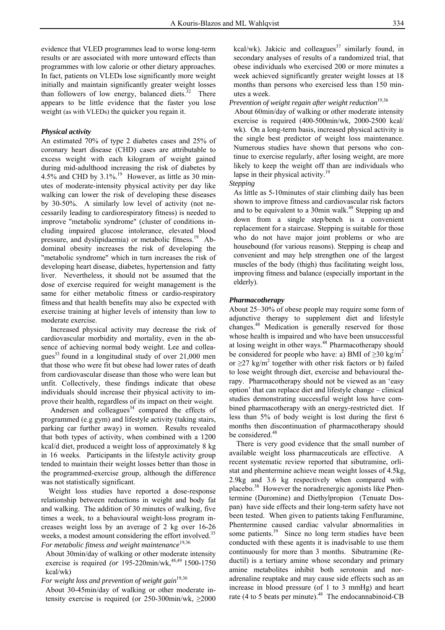evidence that VLED programmes lead to worse long-term results or are associated with more untoward effects than programmes with low calorie or other dietary approaches. In fact, patients on VLEDs lose significantly more weight initially and maintain significantly greater weight losses than followers of low energy, balanced diets. $32$  There appears to be little evidence that the faster you lose weight (as with VLEDs) the quicker you regain it.

## *Physical activity*

Αn estimated 70% of type 2 diabetes cases and 25% of coronary heart disease (CHD) cases are attributable to excess weight with each kilogram of weight gained during mid-adulthood increasing the risk of diabetes by 4.5% and CHD by  $3.1\%$ .<sup>19</sup> However, as little as 30 minutes of moderate-intensity physical activity per day like walking can lower the risk of developing these diseases by 30-50%. A similarly low level of activity (not necessarily leading to cardiorespiratory fitness) is needed to improve "metabolic syndrome" (cluster of conditions including impaired glucose intolerance, elevated blood pressure, and dyslipidaemia) or metabolic fitness.<sup>19</sup> Abdominal obesity increases the risk of developing the "metabolic syndrome" which in turn increases the risk of developing heart disease, diabetes, hypertension and fatty liver. Nevertheless, it should not be assumed that the dose of exercise required for weight management is the same for either metabolic fitness or cardio-respiratory fitness and that health benefits may also be expected with exercise training at higher levels of intensity than low to moderate exercise.

 Increased physical activity may decrease the risk of cardiovascular morbidity and mortality, even in the absence of achieving normal body weight. Lee and colleagues<sup>33</sup> found in a longitudinal study of over  $21,000$  men that those who were fit but obese had lower rates of death from cardiovascular disease than those who were lean but unfit. Collectively, these findings indicate that obese individuals should increase their physical activity to improve their health, regardless of its impact on their weight.

Andersen and colleagues $34$  compared the effects of programmed (e.g gym) and lifestyle activity (taking stairs, parking car further away) in women. Results revealed that both types of activity, when combined with a 1200 kcal/d diet, produced a weight loss of approximately 8 kg in 16 weeks. Participants in the lifestyle activity group tended to maintain their weight losses better than those in the programmed-exercise group, although the difference was not statistically significant.

 Weight loss studies have reported a dose-response relationship between reductions in weight and body fat and walking. The addition of 30 minutes of walking, five times a week, to a behavioural weight-loss program increases weight loss by an average of 2 kg over 16-26 weeks, a modest amount considering the effort involved.<sup>35</sup> For metabolic fitness and weight maintenance<sup>19,36</sup>

About 30min/day of walking or other moderate intensity exercise is required *(or* 195-220min/wk,<sup>48,49</sup> 1500-1750 kcal/wk)

*For* w*eight loss and prevention of weight gain*19,36

About 30-45min/day of walking or other moderate intensity exercise is required (or 250-300min/wk,  $\geq 2000$  kcal/wk). Jakicic and colleagues<sup>37</sup> similarly found, in secondary analyses of results of a randomized trial, that obese individuals who exercised 200 or more minutes a week achieved significantly greater weight losses at 18 months than persons who exercised less than 150 minutes a week.

*Prevention of weight regain after weight reduction*19,36

About 60min/day of walking or other moderate intensity exercise is required (400-500min/wk, 2000-2500 kcal/ wk). On a long-term basis, increased physical activity is the single best predictor of weight loss maintenance. Numerous studies have shown that persons who continue to exercise regularly, after losing weight, are more likely to keep the weight off than are individuals who lapse in their physical activity.<sup>19</sup>

*Stepping* 

As little as 5-10minutes of stair climbing daily has been shown to improve fitness and cardiovascular risk factors and to be equivalent to a 30min walk.<sup>49</sup> Stepping up and down from a single step/bench is a convenient replacement for a staircase. Stepping is suitable for those who do not have major joint problems or who are housebound (for various reasons). Stepping is cheap and convenient and may help strengthen one of the largest muscles of the body (thigh) thus facilitating weight loss, improving fitness and balance (especially important in the elderly).

#### *Pharmacotherapy*

About 25–30% of obese people may require some form of adjunctive therapy to supplement diet and lifestyle changes.48 Medication is generally reserved for those whose health is impaired and who have been unsuccessful at losing weight in other ways.<sup>48</sup> Pharmacotherapy should be considered for people who have: a) BMI of  $\geq$ 30 kg/m<sup>2</sup> or  $\geq$ 27 kg/m<sup>2</sup> together with other risk factors or b) failed to lose weight through diet, exercise and behavioural therapy. Pharmacotherapy should not be viewed as an 'easy option' that can replace diet and lifestyle change – clinical studies demonstrating successful weight loss have combined pharmacotherapy with an energy-restricted diet. If less than 5% of body weight is lost during the first 6 months then discontinuation of pharmacotherapy should be considered.<sup>48</sup>

 There is very good evidence that the small number of available weight loss pharmaceuticals are effective. A recent systematic review reported that sibutramine, orlistat and phentermine achieve mean weight losses of 4.5kg, 2.9kg and 3.6 kg respectively when compared with placebo.38 However the noradrenergic agonists like Phentermine (Duromine) and Diethylpropion (Tenuate Dospan) have side effects and their long-term safety have not been tested. When given to patients taking Fenfluramine, Phentermine caused cardiac valvular abnormalities in some patients.<sup>39</sup> Since no long term studies have been conducted with these agents it is inadvisable to use them continuously for more than 3 months. Sibutramine (Reductil) is a tertiary amine whose secondary and primary amine metabolites inhibit both serotonin and noradrenaline reuptake and may cause side effects such as an increase in blood pressure (of 1 to 3 mmHg) and heart rate (4 to 5 beats per minute).<sup>48</sup> The endocannabinoid-CB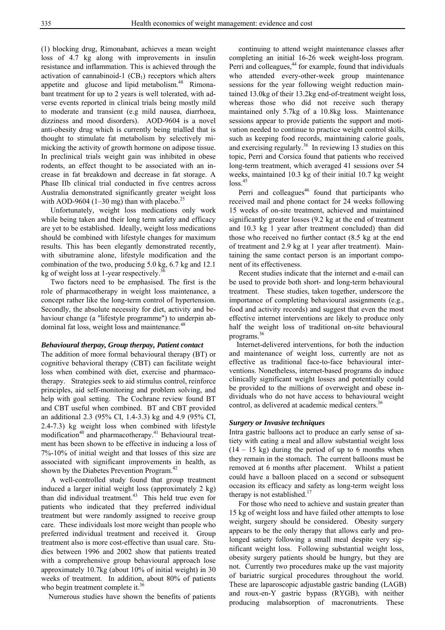(1) blocking drug, Rimonabant, achieves a mean weight loss of 4.7 kg along with improvements in insulin resistance and inflammation. This is achieved through the activation of cannabinoid-1  $(CB<sub>1</sub>)$  receptors which alters appetite and glucose and lipid metabolism.<sup>48</sup> Rimonabant treatment for up to 2 years is well tolerated, with adverse events reported in clinical trials being mostly mild to moderate and transient (e.g mild nausea, diarrhoea, dizziness and mood disorders). AOD-9604 is a novel anti-obesity drug which is currently being trialled that is thought to stimulate fat metabolism by selectively mimicking the activity of growth hormone on adipose tissue. In preclinical trials weight gain was inhibited in obese rodents, an effect thought to be associated with an increase in fat breakdown and decrease in fat storage. A Phase IIb clinical trial conducted in five centres across Australia demonstrated significantly greater weight loss with AOD-9604 (1–30 mg) than with placebo.<sup>25</sup>

 Unfortunately, weight loss medications only work while being taken and their long term safety and efficacy are yet to be established. Ideally, weight loss medications should be combined with lifestyle changes for maximum results. This has been elegantly demonstrated recently, with sibutramine alone, lifestyle modification and the combination of the two, producing 5.0 kg, 6.7 kg and 12.1 kg of weight loss at 1-year respectively. $36$ 

 Two factors need to be emphasised. The first is the role of pharmacotherapy in weight loss maintenance, a concept rather like the long-term control of hypertension. Secondly, the absolute necessity for diet, activity and behaviour change (a "lifestyle programme") to underpin abdominal fat loss, weight loss and maintenance.<sup>48</sup>

#### *Behavioural therpay, Group therpay, Patient contact*

The addition of more formal behavioural therapy (BT) or cognitive behavioral therapy (CBT) can facilitate weight loss when combined with diet, exercise and pharmacotherapy. Strategies seek to aid stimulus control, reinforce principles, aid self-monitoring and problem solving, and help with goal setting. The Cochrane review found BT and CBT useful when combined. BT and CBT provided an additional 2.3 (95% CI, 1.4-3.3) kg and 4.9 (95% CI, 2.4-7.3) kg weight loss when combined with lifestyle modification<sup>40</sup> and pharmacotherapy.<sup>41</sup> Behavioural treatment has been shown to be effective in inducing a loss of 7%-10% of initial weight and that losses of this size are associated with significant improvements in health, as shown by the Diabetes Prevention Program.<sup>42</sup>

 A well-controlled study found that group treatment induced a larger initial weight loss (approximately 2 kg) than did individual treatment. $43$  This held true even for patients who indicated that they preferred individual treatment but were randomly assigned to receive group care. These individuals lost more weight than people who preferred individual treatment and received it. Group treatment also is more cost-effective than usual care. Studies between 1996 and 2002 show that patients treated with a comprehensive group behavioural approach lose approximately 10.7kg (about 10% of initial weight) in 30 weeks of treatment. In addition, about 80% of patients who begin treatment complete it.<sup>36</sup>

Numerous studies have shown the benefits of patients

 continuing to attend weight maintenance classes after completing an initial 16-26 week weight-loss program. Perri and colleagues,<sup>44</sup> for example, found that individuals who attended every-other-week group maintenance sessions for the year following weight reduction maintained 13.0kg of their 13.2kg end-of-treatment weight loss, whereas those who did not receive such therapy maintained only 5.7kg of a 10.8kg loss. Maintenance sessions appear to provide patients the support and motivation needed to continue to practice weight control skills, such as keeping food records, maintaining calorie goals, and exercising regularly.<sup>36</sup> In reviewing 13 studies on this topic, Perri and Corsica found that patients who received long-term treatment, which averaged 41 sessions over 54 weeks, maintained 10.3 kg of their initial 10.7 kg weight  $loss.<sup>45</sup>$ 

Perri and colleagues $46$  found that participants who received mail and phone contact for 24 weeks following 15 weeks of on-site treatment, achieved and maintained significantly greater losses (9.2 kg at the end of treatment and 10.3 kg 1 year after treatment concluded) than did those who received no further contact (8.5 kg at the end of treatment and 2.9 kg at 1 year after treatment). Maintaining the same contact person is an important component of its effectiveness.

 Recent studies indicate that the internet and e-mail can be used to provide both short- and long-term behavioural treatment. These studies, taken together, underscore the importance of completing behavioural assignments (e.g., food and activity records) and suggest that even the most effective internet interventions are likely to produce only half the weight loss of traditional on-site behavioural programs.<sup>36</sup>

 Internet-delivered interventions, for both the induction and maintenance of weight loss, currently are not as effective as traditional face-to-face behavioural interventions. Nonetheless, internet-based programs do induce clinically significant weight losses and potentially could be provided to the millions of overweight and obese individuals who do not have access to behavioural weight control, as delivered at academic medical centers.<sup>36</sup>

#### *Surgery or Invasive techniques*

Intra gastric balloons act to produce an early sense of satiety with eating a meal and allow substantial weight loss  $(14 - 15 \text{ kg})$  during the period of up to 6 months when they remain in the stomach. The current balloons must be removed at 6 months after placement. Whilst a patient could have a balloon placed on a second or subsequent occasion its efficacy and safety as long-term weight loss therapy is not established.<sup>17</sup>

 For those who need to achieve and sustain greater than 15 kg of weight loss and have failed other attempts to lose weight, surgery should be considered. Obesity surgery appears to be the only therapy that allows early and prolonged satiety following a small meal despite very significant weight loss. Following substantial weight loss, obesity surgery patients should be hungry, but they are not. Currently two procedures make up the vast majority of bariatric surgical procedures throughout the world. These are laparoscopic adjustable gastric banding (LAGB) and roux-en-Y gastric bypass (RYGB), with neither producing malabsorption of macronutrients. These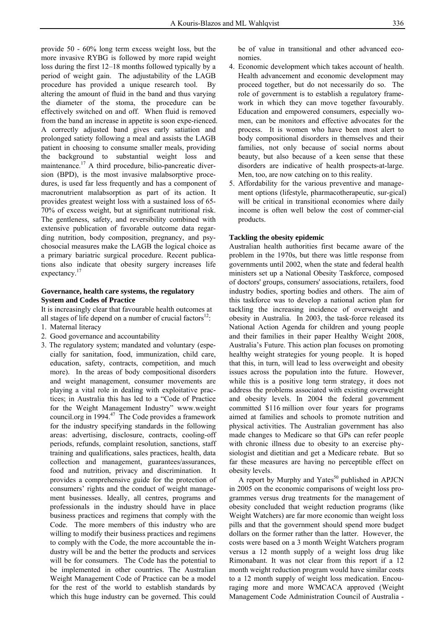provide 50 - 60% long term excess weight loss, but the more invasive RYBG is followed by more rapid weight loss during the first 12–18 months followed typically by a period of weight gain. The adjustability of the LAGB procedure has provided a unique research tool. By altering the amount of fluid in the band and thus varying the diameter of the stoma, the procedure can be effectively switched on and off. When fluid is removed from the band an increase in appetite is soon expe-rienced. A correctly adjusted band gives early satiation and prolonged satiety following a meal and assists the LAGB patient in choosing to consume smaller meals, providing the background to substantial weight loss and maintenance.<sup>17</sup> A third procedure, bilio-pancreatic diversion (BPD), is the most invasive malabsorptive procedures, is used far less frequently and has a component of macronutrient malabsorption as part of its action. It provides greatest weight loss with a sustained loss of 65- 70% of excess weight, but at significant nutritional risk. The gentleness, safety, and reversibility combined with extensive publication of favorable outcome data regarding nutrition, body composition, pregnancy, and psychosocial measures make the LAGB the logical choice as a primary bariatric surgical procedure. Recent publications also indicate that obesity surgery increases life expectancy.<sup>17</sup>

# **Governance, health care systems, the regulatory System and Codes of Practice**

It is increasingly clear that favourable health outcomes at all stages of life depend on a number of crucial factors $12$ :

- 1. Maternal literacy
- 2. Good governance and accountability
- 3. The regulatory system; mandated and voluntary (especially for sanitation, food, immunization, child care, education, safety, contracts, competition, and much more). In the areas of body compositional disorders and weight management, consumer movements are playing a vital role in dealing with exploitative practices; in Australia this has led to a "Code of Practice for the Weight Management Industry" www.weight council.org in 1994.<sup>47</sup> The Code provides a framework for the industry specifying standards in the following areas: advertising, disclosure, contracts, cooling-off periods, refunds, complaint resolution, sanctions, staff training and qualifications, sales practices, health, data collection and management, guarantees/assurances, food and nutrition, privacy and discrimination. It provides a comprehensive guide for the protection of consumers' rights and the conduct of weight management businesses. Ideally, all centres, programs and professionals in the industry should have in place business practices and regimens that comply with the Code. The more members of this industry who are willing to modify their business practices and regimens to comply with the Code, the more accountable the industry will be and the better the products and services will be for consumers. The Code has the potential to be implemented in other countries. The Australian Weight Management Code of Practice can be a model for the rest of the world to establish standards by which this huge industry can be governed. This could

be of value in transitional and other advanced economies.

- 4. Economic development which takes account of health. Health advancement and economic development may proceed together, but do not necessarily do so. The role of government is to establish a regulatory framework in which they can move together favourably. Education and empowered consumers, especially women, can be monitors and effective advocates for the process. It is women who have been most alert to body compositional disorders in themselves and their families, not only because of social norms about beauty, but also because of a keen sense that these disorders are indicative of health prospects-at-large. Men, too, are now catching on to this reality.
- 5. Affordability for the various preventive and management options (lifestyle, pharmacotherapeutic, sur-gical) will be critical in transitional economies where daily income is often well below the cost of commer-cial products.

# **Tackling the obesity epidemic**

Australian health authorities first became aware of the problem in the 1970s, but there was little response from governments until 2002, when the state and federal health ministers set up a National Obesity Taskforce, composed of doctors' groups, consumers' associations, retailers, food industry bodies, sporting bodies and others. The aim of this taskforce was to develop a national action plan for tackling the increasing incidence of overweight and obesity in Australia. In 2003, the task-force released its National Action Agenda for children and young people and their families in their paper Healthy Weight 2008, Australia's Future. This action plan focuses on promoting healthy weight strategies for young people. It is hoped that this, in turn, will lead to less overweight and obesity issues across the population into the future. However, while this is a positive long term strategy, it does not address the problems associated with existing overweight and obesity levels. In 2004 the federal government committed \$116 million over four years for programs aimed at families and schools to promote nutrition and physical activities. The Australian government has also made changes to Medicare so that GPs can refer people with chronic illness due to obesity to an exercise physiologist and dietitian and get a Medicare rebate. But so far these measures are having no perceptible effect on obesity levels.

A report by Murphy and Yates $50$  published in APJCN in 2005 on the economic comparisons of weight loss programmes versus drug treatments for the management of obesity concluded that weight reduction programs (like Weight Watchers) are far more economic than weight loss pills and that the government should spend more budget dollars on the former rather than the latter. However, the costs were based on a 3 month Weight Watchers program versus a 12 month supply of a weight loss drug like Rimonabant. It was not clear from this report if a 12 month weight reduction program would have similar costs to a 12 month supply of weight loss medication. Encouraging more and more WMCACA approved (Weight Management Code Administration Council of Australia -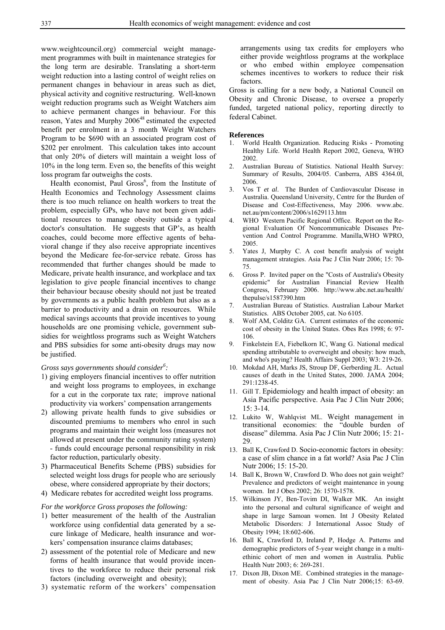www.weightcouncil.org) commercial weight management programmes with built in maintenance strategies for the long term are desirable. Translating a short-term weight reduction into a lasting control of weight relies on permanent changes in behaviour in areas such as diet, physical activity and cognitive restructuring. Well-known weight reduction programs such as Weight Watchers aim to achieve permanent changes in behaviour. For this reason, Yates and Murphy 2006<sup>48</sup> estimated the expected benefit per enrolment in a 3 month Weight Watchers Program to be \$690 with an associated program cost of \$202 per enrolment. This calculation takes into account that only 20% of dieters will maintain a weight loss of 10% in the long term. Even so, the benefits of this weight loss program far outweighs the costs.

Health economist, Paul Gross<sup>6</sup>, from the Institute of Health Economics and Technology Assessment claims there is too much reliance on health workers to treat the problem, especially GPs, who have not been given additional resources to manage obesity outside a typical doctor's consultation. He suggests that GP's, as health coaches, could become more effective agents of behavioral change if they also receive appropriate incentives beyond the Medicare fee-for-service rebate. Gross has recommended that further changes should be made to Medicare, private health insurance, and workplace and tax legislation to give people financial incentives to change their behaviour because obesity should not just be treated by governments as a public health problem but also as a barrier to productivity and a drain on resources. While medical savings accounts that provide incentives to young households are one promising vehicle, government subsidies for weightloss programs such as Weight Watchers and PBS subsidies for some anti-obesity drugs may now be justified.

# *Gross says governments should consider6 :*

- 1) giving employers financial incentives to offer nutrition and weight loss programs to employees, in exchange for a cut in the corporate tax rate; improve national productivity via workers' compensation arrangements
- 2) allowing private health funds to give subsidies or discounted premiums to members who enrol in such programs and maintain their weight loss (measures not allowed at present under the community rating system) - funds could encourage personal responsibility in risk factor reduction, particularly obesity.
- 3) Pharmaceutical Benefits Scheme (PBS) subsidies for selected weight loss drugs for people who are seriously obese, where considered appropriate by their doctors;
- 4) Medicare rebates for accredited weight loss programs.

#### *For the workforce Gross proposes the following:*

- 1) better measurement of the health of the Australian workforce using confidential data generated by a secure linkage of Medicare, health insurance and workers' compensation insurance claims databases;
- 2) assessment of the potential role of Medicare and new forms of health insurance that would provide incentives to the workforce to reduce their personal risk factors (including overweight and obesity);
- 3) systematic reform of the workers' compensation

 arrangements using tax credits for employers who either provide weightloss programs at the workplace or who embed within employee compensation schemes incentives to workers to reduce their risk factors.

Gross is calling for a new body, a National Council on Obesity and Chronic Disease, to oversee a properly funded, targeted national policy, reporting directly to federal Cabinet.

#### **References**

- 1. World Health Organization. Reducing Risks Promoting Healthy Life. World Health Report 2002, Geneva, WHO 2002.
- 2. Australian Bureau of Statistics. National Health Survey: Summary of Results, 2004/05. Canberra, ABS 4364.0l, 2006.
- 3. Vos T *et al*. The Burden of Cardiovascular Disease in Australia. Queensland University, Centre for the Burden of Disease and Cost-Effectiveness, May 2006. www.abc. net.au/pm/content/2006/s1629113.htm
- WHO Western Pacific Regional Office. Report on the Regional Evaluation Of Noncommunicable Diseases Prevention And Control Programme. Manilla,WHO WPRO, 2005.
- 5. Yates J, Murphy C. A cost benefit analysis of weight management strategies. Asia Pac J Clin Nutr 2006; 15: 70- 75.
- 6. Gross P. Invited paper on the "Costs of Australia's Obesity epidemic" for Australian Financial Review Health Congress, February 2006. http://www.abc.net.au/health/ thepulse/s1587390.htm
- 7. Australian Bureau of Statistics. Australian Labour Market Statistics. ABS October 2005, cat. No 6105.
- 8. Wolf AM, Colditz GA. Current estimates of the economic cost of obesity in the United States. Obes Res 1998; 6: 97- 106.
- 9. Finkelstein EA, Fiebelkorn IC, Wang G. National medical spending attributable to overweight and obesity: how much, and who's paying? Health Affairs Suppl 2003; W3: 219-26.
- 10. Mokdad AH, Marks JS, Stroup DF, Gerberding JL. Actual causes of death in the United States, 2000. JAMA 2004; 291:1238-45.
- 11. Gill T. Epidemiology and health impact of obesity: an Asia Pacific perspective. Asia Pac J Clin Nutr 2006; 15: 3-14.
- 12. Lukito W, Wahlqvist ML. Weight management in transitional economies: the "double burden of disease" dilemma. Asia Pac J Clin Nutr 2006; 15: 21- 29.
- 13. Ball K, Crawford D. Socio-economic factors in obesity: a case of slim chance in a fat world? Asia Pac J Clin Nutr 2006; 15: 15-20.
- 14. Ball K, Brown W, Crawford D. Who does not gain weight? Prevalence and predictors of weight maintenance in young women. Int J Obes 2002; 26: 1570-1578.
- 15. Wilkinson JY, Ben-Tovim DI, Walker MK. An insight into the personal and cultural significance of weight and shape in large Samoan women. Int J Obesity Related Metabolic Disorders: J International Assoc Study of Obesity 1994; 18:602-606.
- 16. Ball K, Crawford D, Ireland P, Hodge A. Patterns and demographic predictors of 5-year weight change in a multiethinic cohort of men and women in Australia. Public Health Nutr 2003; 6: 269-281.
- 17. Dixon JB, Dixon ME. Combined strategies in the management of obesity. Asia Pac J Clin Nutr 2006;15: 63-69.